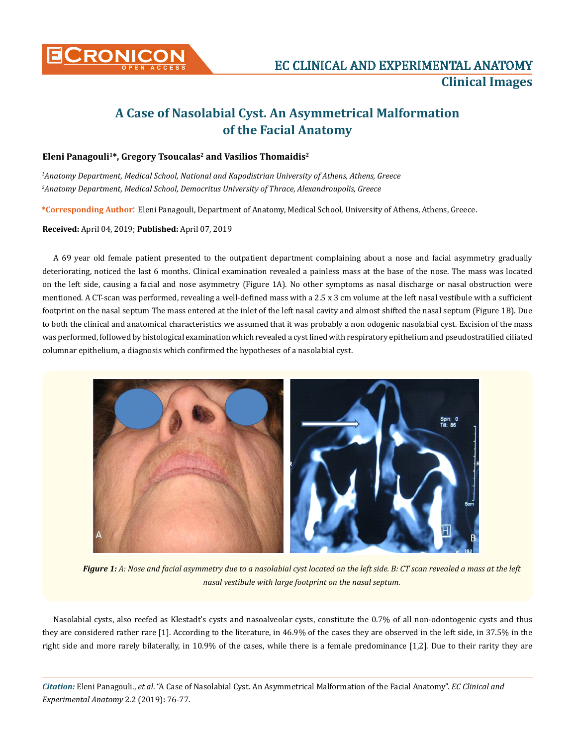

## **A Case of Nasolabial Cyst. An Asymmetrical Malformation of the Facial Anatomy**

## Eleni Panagouli<sup>1\*</sup>, Gregory Tsoucalas<sup>2</sup> and Vasilios Thomaidis<sup>2</sup>

*1 Anatomy Department, Medical School, National and Kapodistrian University of Athens, Athens, Greece 2 Anatomy Department, Medical School, Democritus University of Thrace, Alexandroupolis, Greece*

**\*Corresponding Author**: Eleni Panagouli, Department of Anatomy, Medical School, University of Athens, Athens, Greece.

## **Received:** April 04, 2019; **Published:** April 07, 2019

A 69 year old female patient presented to the outpatient department complaining about a nose and facial asymmetry gradually deteriorating, noticed the last 6 months. Clinical examination revealed a painless mass at the base of the nose. The mass was located on the left side, causing a facial and nose asymmetry (Figure 1A). No other symptoms as nasal discharge or nasal obstruction were mentioned. A CT-scan was performed, revealing a well-defined mass with a 2.5 x 3 cm volume at the left nasal vestibule with a sufficient footprint on the nasal septum The mass entered at the inlet of the left nasal cavity and almost shifted the nasal septum (Figure 1B). Due to both the clinical and anatomical characteristics we assumed that it was probably a non odogenic nasolabial cyst. Excision of the mass was performed, followed by histological examination which revealed a cyst lined with respiratory epithelium and pseudostratified ciliated columnar epithelium, a diagnosis which confirmed the hypotheses of a nasolabial cyst.



*Figure 1: A: Nose and facial asymmetry due to a nasolabial cyst located on the left side. B: CT scan revealed a mass at the left nasal vestibule with large footprint on the nasal septum.*

Nasolabial cysts, also reefed as Klestadt's cysts and nasoalveolar cysts, constitute the 0.7% of all non-odontogenic cysts and thus they are considered rather rare [1]. According to the literature, in 46.9% of the cases they are observed in the left side, in 37.5% in the right side and more rarely bilaterally, in 10.9% of the cases, while there is a female predominance [1,2]. Due to their rarity they are

*Citation:* Eleni Panagouli., *et al*. "A Case of Nasolabial Cyst. An Asymmetrical Malformation of the Facial Anatomy". *EC Clinical and Experimental Anatomy* 2.2 (2019): 76-77.